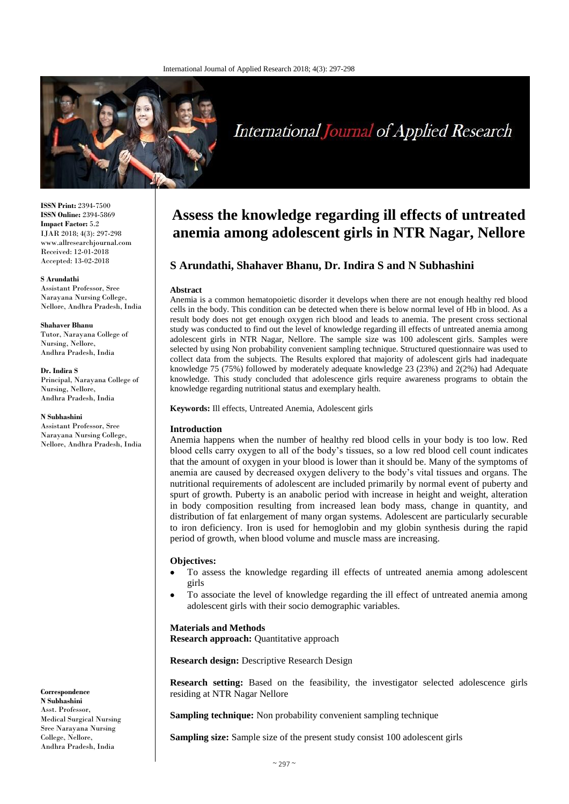

# International Journal of Applied Research

**ISSN Print:** 2394-7500 **ISSN Online:** 2394-5869 **Impact Factor:** 5.2 IJAR 2018; 4(3): 297-298 www.allresearchjournal.com Received: 12-01-2018 Accepted: 13-02-2018

#### **S Arundathi**

Assistant Professor, Sree Narayana Nursing College, Nellore, Andhra Pradesh, India

#### **Shahaver Bhanu**

Tutor, Narayana College of Nursing, Nellore, Andhra Pradesh, India

#### **Dr. Indira S**

Principal, Narayana College of Nursing, Nellore, Andhra Pradesh, India

#### **N Subhashini**

Assistant Professor, Sree Narayana Nursing College, Nellore, Andhra Pradesh, India

**Correspondence N Subhashini**  Asst. Professor, Medical Surgical Nursing Sree Narayana Nursing College, Nellore, Andhra Pradesh, India

# **Assess the knowledge regarding ill effects of untreated anemia among adolescent girls in NTR Nagar, Nellore**

# **S Arundathi, Shahaver Bhanu, Dr. Indira S and N Subhashini**

# **Abstract**

Anemia is a common hematopoietic disorder it develops when there are not enough healthy red blood cells in the body. This condition can be detected when there is below normal level of Hb in blood. As a result body does not get enough oxygen rich blood and leads to anemia. The present cross sectional study was conducted to find out the level of knowledge regarding ill effects of untreated anemia among adolescent girls in NTR Nagar, Nellore. The sample size was 100 adolescent girls. Samples were selected by using Non probability convenient sampling technique. Structured questionnaire was used to collect data from the subjects. The Results explored that majority of adolescent girls had inadequate knowledge 75 (75%) followed by moderately adequate knowledge 23 (23%) and 2(2%) had Adequate knowledge. This study concluded that adolescence girls require awareness programs to obtain the knowledge regarding nutritional status and exemplary health.

**Keywords:** Ill effects, Untreated Anemia, Adolescent girls

# **Introduction**

Anemia happens when the number of healthy red blood cells in your body is too low. Red blood cells carry oxygen to all of the body's tissues, so a low red blood cell count indicates that the amount of oxygen in your blood is lower than it should be. Many of the symptoms of anemia are caused by decreased oxygen delivery to the body's vital tissues and organs. The nutritional requirements of adolescent are included primarily by normal event of puberty and spurt of growth. Puberty is an anabolic period with increase in height and weight, alteration in body composition resulting from increased lean body mass, change in quantity, and distribution of fat enlargement of many organ systems. Adolescent are particularly securable to iron deficiency. Iron is used for hemoglobin and my globin synthesis during the rapid period of growth, when blood volume and muscle mass are increasing.

## **Objectives:**

- To assess the knowledge regarding ill effects of untreated anemia among adolescent girls
- To associate the level of knowledge regarding the ill effect of untreated anemia among adolescent girls with their socio demographic variables.

## **Materials and Methods**

**Research approach:** Quantitative approach

**Research design:** Descriptive Research Design

**Research setting:** Based on the feasibility, the investigator selected adolescence girls residing at NTR Nagar Nellore

**Sampling technique:** Non probability convenient sampling technique

**Sampling size:** Sample size of the present study consist 100 adolescent girls